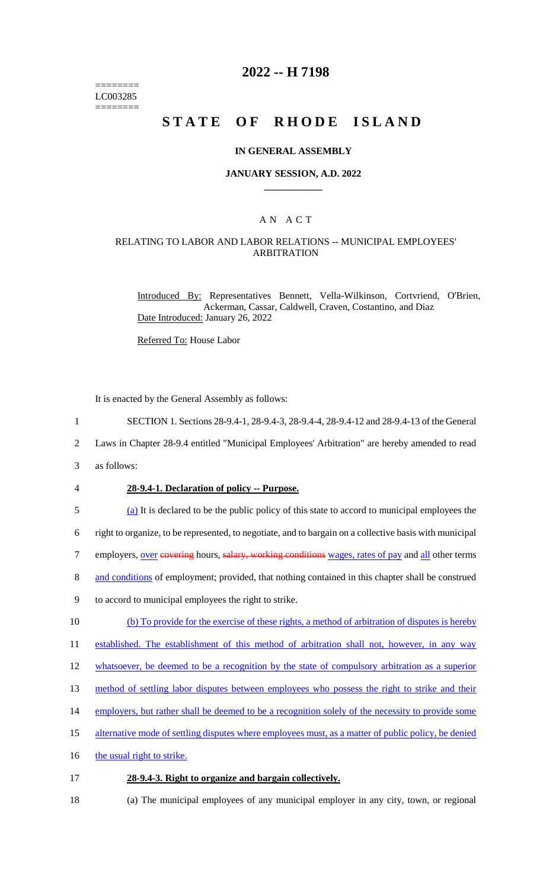======== LC003285 ========

### **2022 -- H 7198**

# **STATE OF RHODE ISLAND**

#### **IN GENERAL ASSEMBLY**

#### **JANUARY SESSION, A.D. 2022 \_\_\_\_\_\_\_\_\_\_\_\_**

### A N A C T

### RELATING TO LABOR AND LABOR RELATIONS -- MUNICIPAL EMPLOYEES' ARBITRATION

Introduced By: Representatives Bennett, Vella-Wilkinson, Cortvriend, O'Brien, Ackerman, Cassar, Caldwell, Craven, Costantino, and Diaz Date Introduced: January 26, 2022

Referred To: House Labor

It is enacted by the General Assembly as follows:

1 SECTION 1. Sections 28-9.4-1, 28-9.4-3, 28-9.4-4, 28-9.4-12 and 28-9.4-13 of the General

2 Laws in Chapter 28-9.4 entitled "Municipal Employees' Arbitration" are hereby amended to read

3 as follows:

#### 4 **28-9.4-1. Declaration of policy -- Purpose.**

5 (a) It is declared to be the public policy of this state to accord to municipal employees the

6 right to organize, to be represented, to negotiate, and to bargain on a collective basis with municipal

7 employers, over eovering hours, salary, working conditions wages, rates of pay and all other terms

8 and conditions of employment; provided, that nothing contained in this chapter shall be construed

- 9 to accord to municipal employees the right to strike.
- 10 (b) To provide for the exercise of these rights, a method of arbitration of disputes is hereby

11 established. The establishment of this method of arbitration shall not, however, in any way

12 whatsoever, be deemed to be a recognition by the state of compulsory arbitration as a superior

13 method of settling labor disputes between employees who possess the right to strike and their

14 employers, but rather shall be deemed to be a recognition solely of the necessity to provide some

15 alternative mode of settling disputes where employees must, as a matter of public policy, be denied

16 the usual right to strike.

#### 17 **28-9.4-3. Right to organize and bargain collectively.**

18 (a) The municipal employees of any municipal employer in any city, town, or regional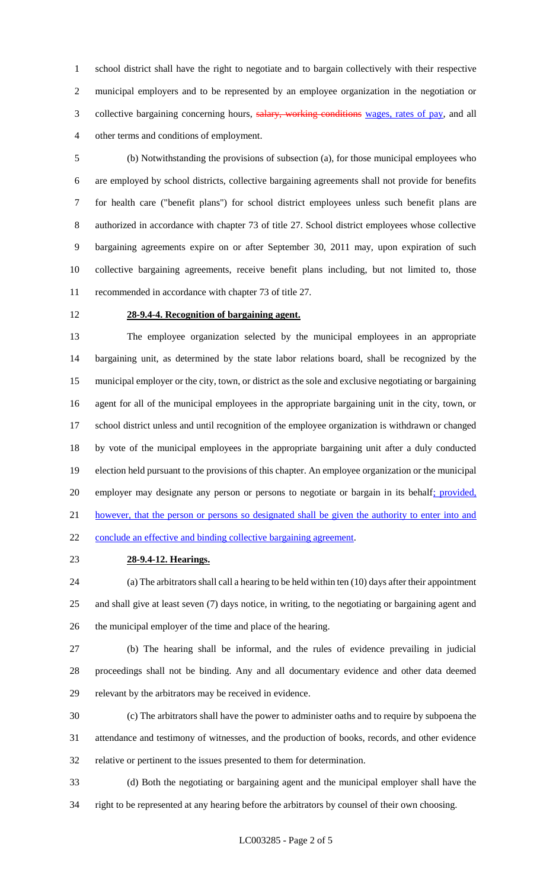school district shall have the right to negotiate and to bargain collectively with their respective municipal employers and to be represented by an employee organization in the negotiation or 3 collective bargaining concerning hours, salary, working conditions wages, rates of pay, and all other terms and conditions of employment.

 (b) Notwithstanding the provisions of subsection (a), for those municipal employees who are employed by school districts, collective bargaining agreements shall not provide for benefits for health care ("benefit plans") for school district employees unless such benefit plans are authorized in accordance with chapter 73 of title 27. School district employees whose collective bargaining agreements expire on or after September 30, 2011 may, upon expiration of such collective bargaining agreements, receive benefit plans including, but not limited to, those recommended in accordance with chapter 73 of title 27.

### **28-9.4-4. Recognition of bargaining agent.**

 The employee organization selected by the municipal employees in an appropriate bargaining unit, as determined by the state labor relations board, shall be recognized by the municipal employer or the city, town, or district as the sole and exclusive negotiating or bargaining agent for all of the municipal employees in the appropriate bargaining unit in the city, town, or school district unless and until recognition of the employee organization is withdrawn or changed by vote of the municipal employees in the appropriate bargaining unit after a duly conducted election held pursuant to the provisions of this chapter. An employee organization or the municipal employer may designate any person or persons to negotiate or bargain in its behalf; provided, 21 however, that the person or persons so designated shall be given the authority to enter into and conclude an effective and binding collective bargaining agreement.

**28-9.4-12. Hearings.**

 (a) The arbitrators shall call a hearing to be held within ten (10) days after their appointment and shall give at least seven (7) days notice, in writing, to the negotiating or bargaining agent and the municipal employer of the time and place of the hearing.

 (b) The hearing shall be informal, and the rules of evidence prevailing in judicial proceedings shall not be binding. Any and all documentary evidence and other data deemed relevant by the arbitrators may be received in evidence.

 (c) The arbitrators shall have the power to administer oaths and to require by subpoena the attendance and testimony of witnesses, and the production of books, records, and other evidence relative or pertinent to the issues presented to them for determination.

 (d) Both the negotiating or bargaining agent and the municipal employer shall have the right to be represented at any hearing before the arbitrators by counsel of their own choosing.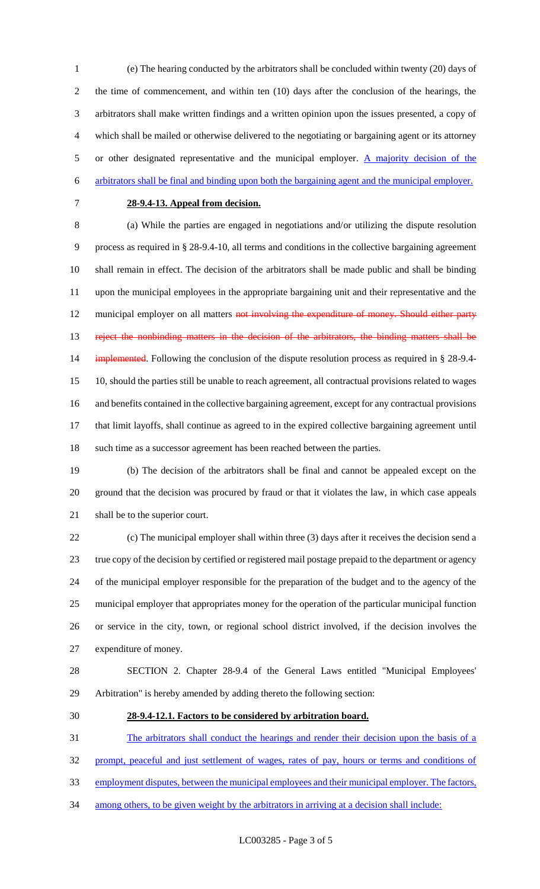(e) The hearing conducted by the arbitrators shall be concluded within twenty (20) days of the time of commencement, and within ten (10) days after the conclusion of the hearings, the arbitrators shall make written findings and a written opinion upon the issues presented, a copy of which shall be mailed or otherwise delivered to the negotiating or bargaining agent or its attorney 5 or other designated representative and the municipal employer.  $\Delta$  majority decision of the arbitrators shall be final and binding upon both the bargaining agent and the municipal employer.

#### **28-9.4-13. Appeal from decision.**

 (a) While the parties are engaged in negotiations and/or utilizing the dispute resolution process as required in § 28-9.4-10, all terms and conditions in the collective bargaining agreement shall remain in effect. The decision of the arbitrators shall be made public and shall be binding upon the municipal employees in the appropriate bargaining unit and their representative and the 12 municipal employer on all matters not involving the expenditure of money. Should either party 13 reject the nonbinding matters in the decision of the arbitrators, the binding matters shall be 14 implemented. Following the conclusion of the dispute resolution process as required in § 28-9.4- 10, should the parties still be unable to reach agreement, all contractual provisions related to wages and benefits contained in the collective bargaining agreement, except for any contractual provisions that limit layoffs, shall continue as agreed to in the expired collective bargaining agreement until such time as a successor agreement has been reached between the parties.

 (b) The decision of the arbitrators shall be final and cannot be appealed except on the ground that the decision was procured by fraud or that it violates the law, in which case appeals

shall be to the superior court.

 (c) The municipal employer shall within three (3) days after it receives the decision send a true copy of the decision by certified or registered mail postage prepaid to the department or agency of the municipal employer responsible for the preparation of the budget and to the agency of the municipal employer that appropriates money for the operation of the particular municipal function or service in the city, town, or regional school district involved, if the decision involves the expenditure of money.

 SECTION 2. Chapter 28-9.4 of the General Laws entitled "Municipal Employees' Arbitration" is hereby amended by adding thereto the following section:

#### **28-9.4-12.1. Factors to be considered by arbitration board.**

The arbitrators shall conduct the hearings and render their decision upon the basis of a

prompt, peaceful and just settlement of wages, rates of pay, hours or terms and conditions of

33 employment disputes, between the municipal employees and their municipal employer. The factors,

34 among others, to be given weight by the arbitrators in arriving at a decision shall include: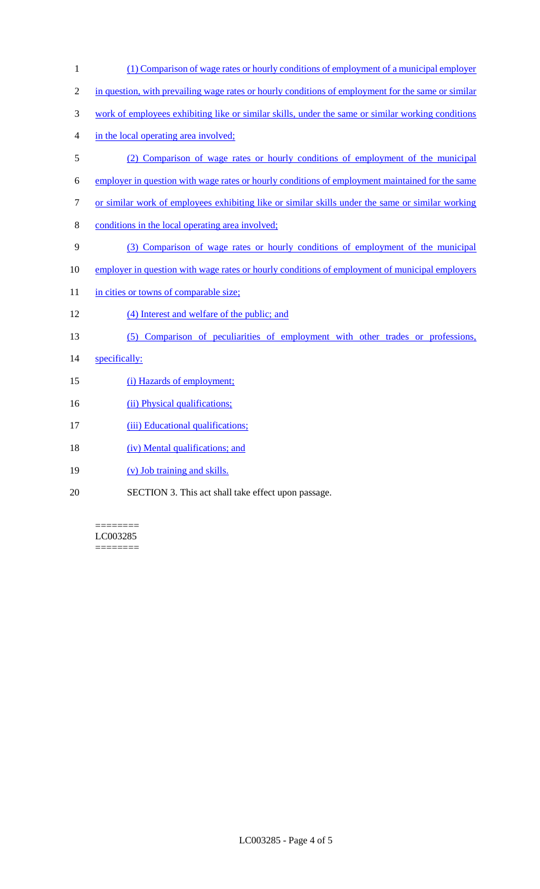1 (1) Comparison of wage rates or hourly conditions of employment of a municipal employer 2 in question, with prevailing wage rates or hourly conditions of employment for the same or similar 3 work of employees exhibiting like or similar skills, under the same or similar working conditions 4 in the local operating area involved; 5 (2) Comparison of wage rates or hourly conditions of employment of the municipal 6 employer in question with wage rates or hourly conditions of employment maintained for the same 7 or similar work of employees exhibiting like or similar skills under the same or similar working 8 conditions in the local operating area involved; 9 (3) Comparison of wage rates or hourly conditions of employment of the municipal 10 employer in question with wage rates or hourly conditions of employment of municipal employers 11 in cities or towns of comparable size; 12 (4) Interest and welfare of the public; and 13 (5) Comparison of peculiarities of employment with other trades or professions, 14 specifically: 15 (i) Hazards of employment; 16 (ii) Physical qualifications; 17 (iii) Educational qualifications; 18 (iv) Mental qualifications; and 19 (v) Job training and skills. 20 SECTION 3. This act shall take effect upon passage.

======== LC003285 ========